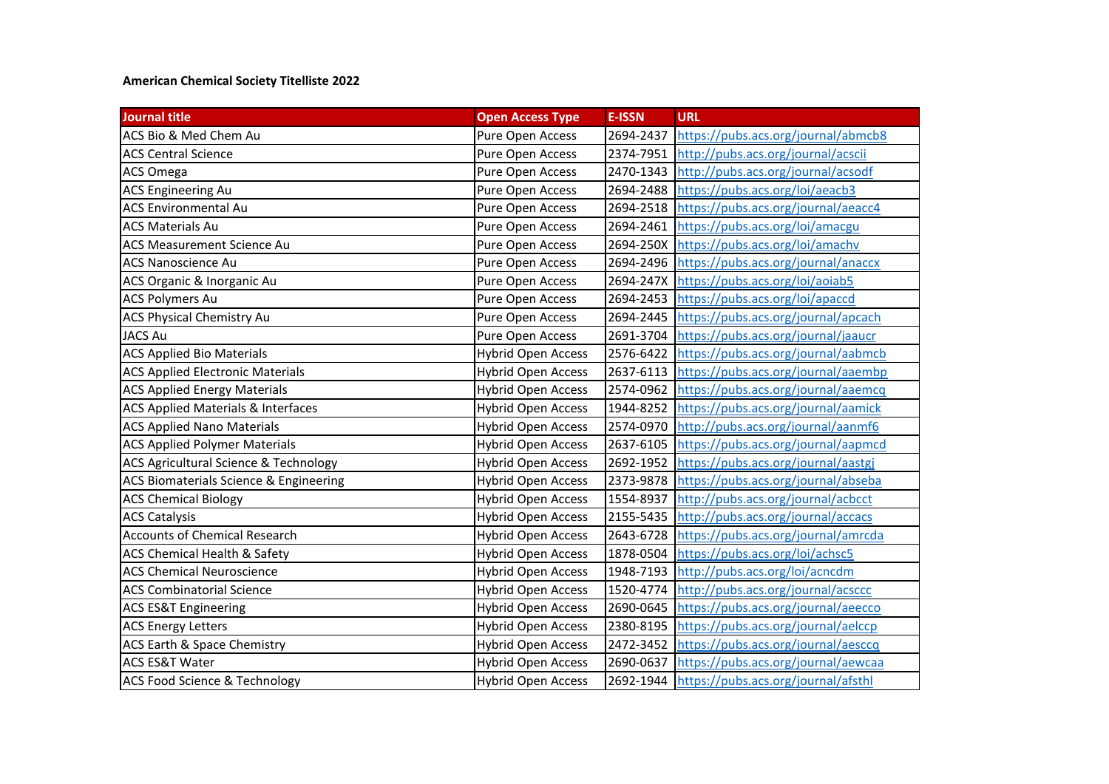## **American Chemical Society Titelliste 2022**

| <b>Journal title</b>                             | <b>Open Access Type</b>   | <b>E-ISSN</b> | <b>URL</b>                                    |
|--------------------------------------------------|---------------------------|---------------|-----------------------------------------------|
| ACS Bio & Med Chem Au                            | Pure Open Access          | 2694-2437     | https://pubs.acs.org/journal/abmcb8           |
| <b>ACS Central Science</b>                       | Pure Open Access          | 2374-7951     | http://pubs.acs.org/journal/acscii            |
| <b>ACS Omega</b>                                 | Pure Open Access          | 2470-1343     | http://pubs.acs.org/journal/acsodf            |
| <b>ACS Engineering Au</b>                        | Pure Open Access          | 2694-2488     | https://pubs.acs.org/loi/aeacb3               |
| <b>ACS Environmental Au</b>                      | Pure Open Access          | 2694-2518     | https://pubs.acs.org/journal/aeacc4           |
| <b>ACS Materials Au</b>                          | Pure Open Access          | 2694-2461     | https://pubs.acs.org/loi/amacgu               |
| <b>ACS Measurement Science Au</b>                | Pure Open Access          | 2694-250X     | https://pubs.acs.org/loi/amachy               |
| <b>ACS Nanoscience Au</b>                        | Pure Open Access          |               | 2694-2496 https://pubs.acs.org/journal/anaccx |
| ACS Organic & Inorganic Au                       | Pure Open Access          |               | 2694-247X https://pubs.acs.org/loi/aoiab5     |
| <b>ACS Polymers Au</b>                           | Pure Open Access          |               | 2694-2453 https://pubs.acs.org/loi/apaccd     |
| ACS Physical Chemistry Au                        | Pure Open Access          |               | 2694-2445 https://pubs.acs.org/journal/apcach |
| <b>JACS Au</b>                                   | Pure Open Access          | 2691-3704     | https://pubs.acs.org/journal/jaaucr           |
| <b>ACS Applied Bio Materials</b>                 | <b>Hybrid Open Access</b> | 2576-6422     | https://pubs.acs.org/journal/aabmcb           |
| <b>ACS Applied Electronic Materials</b>          | <b>Hybrid Open Access</b> |               | 2637-6113 https://pubs.acs.org/journal/aaembp |
| <b>ACS Applied Energy Materials</b>              | <b>Hybrid Open Access</b> |               | 2574-0962 https://pubs.acs.org/journal/aaemcq |
| <b>ACS Applied Materials &amp; Interfaces</b>    | <b>Hybrid Open Access</b> |               | 1944-8252 https://pubs.acs.org/journal/aamick |
| <b>ACS Applied Nano Materials</b>                | <b>Hybrid Open Access</b> |               | 2574-0970 http://pubs.acs.org/journal/aanmf6  |
| <b>ACS Applied Polymer Materials</b>             | <b>Hybrid Open Access</b> |               | 2637-6105 https://pubs.acs.org/journal/aapmcd |
| <b>ACS Agricultural Science &amp; Technology</b> | <b>Hybrid Open Access</b> |               | 2692-1952 https://pubs.acs.org/journal/aastgj |
| ACS Biomaterials Science & Engineering           | <b>Hybrid Open Access</b> |               | 2373-9878 https://pubs.acs.org/journal/abseba |
| <b>ACS Chemical Biology</b>                      | <b>Hybrid Open Access</b> | 1554-8937     | http://pubs.acs.org/journal/acbcct            |
| <b>ACS Catalysis</b>                             | Hybrid Open Access        | 2155-5435     | http://pubs.acs.org/journal/accacs            |
| <b>Accounts of Chemical Research</b>             | <b>Hybrid Open Access</b> | 2643-6728     | https://pubs.acs.org/journal/amrcda           |
| <b>ACS Chemical Health &amp; Safety</b>          | <b>Hybrid Open Access</b> | 1878-0504     | https://pubs.acs.org/loi/achsc5               |
| <b>ACS Chemical Neuroscience</b>                 | <b>Hybrid Open Access</b> | 1948-7193     | http://pubs.acs.org/loi/acncdm                |
| <b>ACS Combinatorial Science</b>                 | <b>Hybrid Open Access</b> | 1520-4774     | http://pubs.acs.org/journal/acsccc            |
| <b>ACS ES&amp;T Engineering</b>                  | <b>Hybrid Open Access</b> | 2690-0645     | https://pubs.acs.org/journal/aeecco           |
| <b>ACS Energy Letters</b>                        | Hybrid Open Access        | 2380-8195     | https://pubs.acs.org/journal/aelccp           |
| ACS Earth & Space Chemistry                      | <b>Hybrid Open Access</b> | 2472-3452     | https://pubs.acs.org/journal/aesccq           |
| <b>ACS ES&amp;T Water</b>                        | <b>Hybrid Open Access</b> | 2690-0637     | https://pubs.acs.org/journal/aewcaa           |
| <b>ACS Food Science &amp; Technology</b>         | <b>Hybrid Open Access</b> |               | 2692-1944 https://pubs.acs.org/journal/afsthl |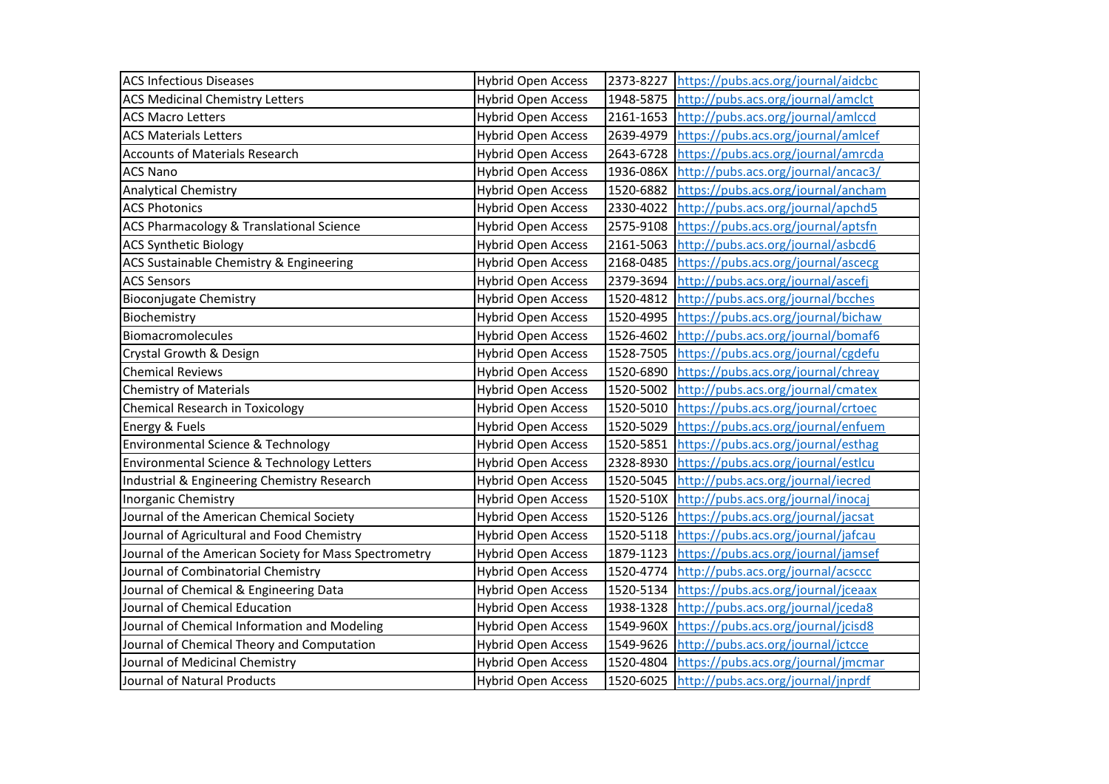| <b>ACS Infectious Diseases</b>                        | <b>Hybrid Open Access</b> | 2373-8227 | https://pubs.acs.org/journal/aidcbc           |
|-------------------------------------------------------|---------------------------|-----------|-----------------------------------------------|
| <b>ACS Medicinal Chemistry Letters</b>                | <b>Hybrid Open Access</b> | 1948-5875 | http://pubs.acs.org/journal/amclct            |
| <b>ACS Macro Letters</b>                              | <b>Hybrid Open Access</b> | 2161-1653 | http://pubs.acs.org/journal/amlccd            |
| <b>ACS Materials Letters</b>                          | <b>Hybrid Open Access</b> | 2639-4979 | https://pubs.acs.org/journal/amlcef           |
| <b>Accounts of Materials Research</b>                 | <b>Hybrid Open Access</b> | 2643-6728 | https://pubs.acs.org/journal/amrcda           |
| <b>ACS Nano</b>                                       | <b>Hybrid Open Access</b> | 1936-086X | http://pubs.acs.org/journal/ancac3/           |
| <b>Analytical Chemistry</b>                           | <b>Hybrid Open Access</b> | 1520-6882 | https://pubs.acs.org/journal/ancham           |
| <b>ACS Photonics</b>                                  | <b>Hybrid Open Access</b> | 2330-4022 | http://pubs.acs.org/journal/apchd5            |
| ACS Pharmacology & Translational Science              | <b>Hybrid Open Access</b> |           | 2575-9108 https://pubs.acs.org/journal/aptsfn |
| <b>ACS Synthetic Biology</b>                          | <b>Hybrid Open Access</b> | 2161-5063 | http://pubs.acs.org/journal/asbcd6            |
| ACS Sustainable Chemistry & Engineering               | <b>Hybrid Open Access</b> | 2168-0485 | https://pubs.acs.org/journal/ascecg           |
| <b>ACS Sensors</b>                                    | <b>Hybrid Open Access</b> | 2379-3694 | http://pubs.acs.org/journal/ascefj            |
| <b>Bioconjugate Chemistry</b>                         | <b>Hybrid Open Access</b> | 1520-4812 | http://pubs.acs.org/journal/bcches            |
| Biochemistry                                          | <b>Hybrid Open Access</b> | 1520-4995 | https://pubs.acs.org/journal/bichaw           |
| Biomacromolecules                                     | <b>Hybrid Open Access</b> | 1526-4602 | http://pubs.acs.org/journal/bomaf6            |
| Crystal Growth & Design                               | <b>Hybrid Open Access</b> | 1528-7505 | https://pubs.acs.org/journal/cgdefu           |
| <b>Chemical Reviews</b>                               | <b>Hybrid Open Access</b> | 1520-6890 | https://pubs.acs.org/journal/chreay           |
| <b>Chemistry of Materials</b>                         | <b>Hybrid Open Access</b> | 1520-5002 | http://pubs.acs.org/journal/cmatex            |
| <b>Chemical Research in Toxicology</b>                | <b>Hybrid Open Access</b> | 1520-5010 | https://pubs.acs.org/journal/crtoec           |
| Energy & Fuels                                        | <b>Hybrid Open Access</b> | 1520-5029 | https://pubs.acs.org/journal/enfuem           |
| Environmental Science & Technology                    | <b>Hybrid Open Access</b> | 1520-5851 | https://pubs.acs.org/journal/esthag           |
| Environmental Science & Technology Letters            | <b>Hybrid Open Access</b> | 2328-8930 | https://pubs.acs.org/journal/estlcu           |
| Industrial & Engineering Chemistry Research           | <b>Hybrid Open Access</b> | 1520-5045 | http://pubs.acs.org/journal/iecred            |
| <b>Inorganic Chemistry</b>                            | <b>Hybrid Open Access</b> | 1520-510X | http://pubs.acs.org/journal/inocaj            |
| Journal of the American Chemical Society              | <b>Hybrid Open Access</b> | 1520-5126 | https://pubs.acs.org/journal/jacsat           |
| Journal of Agricultural and Food Chemistry            | <b>Hybrid Open Access</b> | 1520-5118 | https://pubs.acs.org/journal/jafcau           |
| Journal of the American Society for Mass Spectrometry | <b>Hybrid Open Access</b> | 1879-1123 | https://pubs.acs.org/journal/jamsef           |
| Journal of Combinatorial Chemistry                    | <b>Hybrid Open Access</b> | 1520-4774 | http://pubs.acs.org/journal/acsccc            |
| Journal of Chemical & Engineering Data                | <b>Hybrid Open Access</b> | 1520-5134 | https://pubs.acs.org/journal/jceaax           |
| Journal of Chemical Education                         | <b>Hybrid Open Access</b> | 1938-1328 | http://pubs.acs.org/journal/jceda8            |
| Journal of Chemical Information and Modeling          | <b>Hybrid Open Access</b> | 1549-960X | https://pubs.acs.org/journal/jcisd8           |
| Journal of Chemical Theory and Computation            | <b>Hybrid Open Access</b> | 1549-9626 | http://pubs.acs.org/journal/jctcce            |
| Journal of Medicinal Chemistry                        | <b>Hybrid Open Access</b> |           | 1520-4804 https://pubs.acs.org/journal/jmcmar |
| Journal of Natural Products                           | <b>Hybrid Open Access</b> |           | 1520-6025 http://pubs.acs.org/journal/jnprdf  |